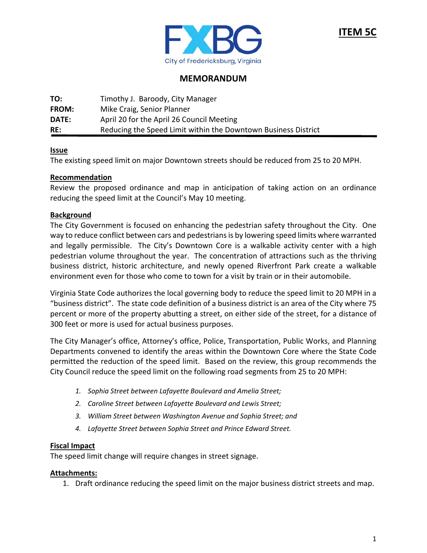

# **MEMORANDUM**

| TO:   | Timothy J. Baroody, City Manager                               |
|-------|----------------------------------------------------------------|
| FROM: | Mike Craig, Senior Planner                                     |
| DATE: | April 20 for the April 26 Council Meeting                      |
| RE:   | Reducing the Speed Limit within the Downtown Business District |

## **Issue**

The existing speed limit on major Downtown streets should be reduced from 25 to 20 MPH.

## **Recommendation**

Review the proposed ordinance and map in anticipation of taking action on an ordinance reducing the speed limit at the Council's May 10 meeting.

## **Background**

The City Government is focused on enhancing the pedestrian safety throughout the City. One way to reduce conflict between cars and pedestrians is by lowering speed limits where warranted and legally permissible. The City's Downtown Core is a walkable activity center with a high pedestrian volume throughout the year. The concentration of attractions such as the thriving business district, historic architecture, and newly opened Riverfront Park create a walkable environment even for those who come to town for a visit by train or in their automobile.

Virginia State Code authorizes the local governing body to reduce the speed limit to 20 MPH in a "business district". The state code definition of a business district is an area of the City where 75 percent or more of the property abutting a street, on either side of the street, for a distance of 300 feet or more is used for actual business purposes.

The City Manager's office, Attorney's office, Police, Transportation, Public Works, and Planning Departments convened to identify the areas within the Downtown Core where the State Code permitted the reduction of the speed limit. Based on the review, this group recommends the City Council reduce the speed limit on the following road segments from 25 to 20 MPH:

- *1. Sophia Street between Lafayette Boulevard and Amelia Street;*
- *2. Caroline Street between Lafayette Boulevard and Lewis Street;*
- *3. William Street between Washington Avenue and Sophia Street; and*
- *4. Lafayette Street between Sophia Street and Prince Edward Street.*

#### **Fiscal Impact**

The speed limit change will require changes in street signage.

#### **Attachments:**

1. Draft ordinance reducing the speed limit on the major business district streets and map.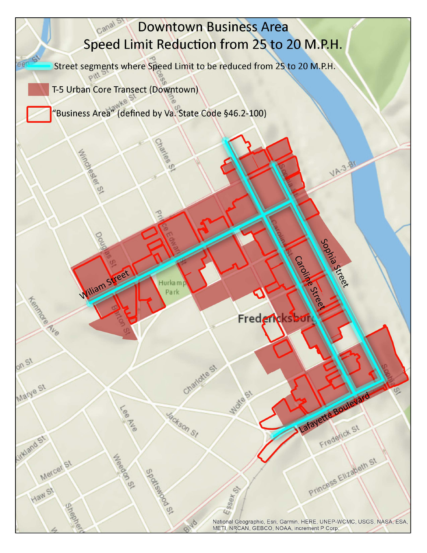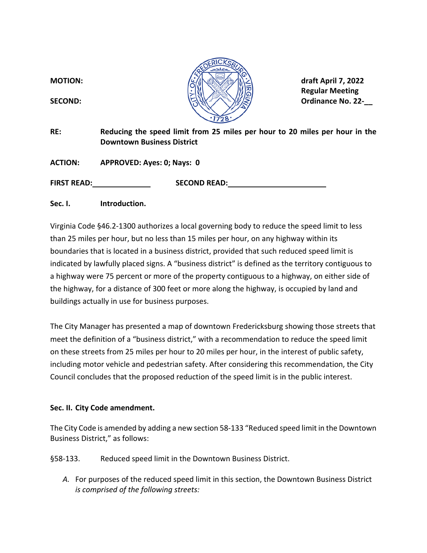

 **Regular Meeting** 

**RE: Reducing the speed limit from 25 miles per hour to 20 miles per hour in the Downtown Business District** 

**ACTION: APPROVED: Ayes: 0; Nays: 0** 

FIRST READ: SECOND READ:

**Sec. I. Introduction.**

Virginia Code §46.2‐1300 authorizes a local governing body to reduce the speed limit to less than 25 miles per hour, but no less than 15 miles per hour, on any highway within its boundaries that is located in a business district, provided that such reduced speed limit is indicated by lawfully placed signs. A "business district" is defined as the territory contiguous to a highway were 75 percent or more of the property contiguous to a highway, on either side of the highway, for a distance of 300 feet or more along the highway, is occupied by land and buildings actually in use for business purposes.

The City Manager has presented a map of downtown Fredericksburg showing those streets that meet the definition of a "business district," with a recommendation to reduce the speed limit on these streets from 25 miles per hour to 20 miles per hour, in the interest of public safety, including motor vehicle and pedestrian safety. After considering this recommendation, the City Council concludes that the proposed reduction of the speed limit is in the public interest.

## **Sec. II. City Code amendment.**

The City Code is amended by adding a new section 58‐133 "Reduced speed limit in the Downtown Business District," as follows:

§58-133. Reduced speed limit in the Downtown Business District.

*A.* For purposes of the reduced speed limit in this section, the Downtown Business District *is comprised of the following streets:*